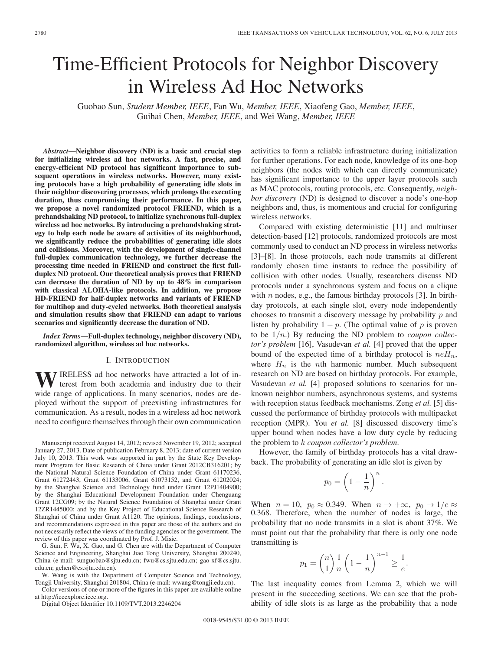# Time-Efficient Protocols for Neighbor Discovery in Wireless Ad Hoc Networks

Guobao Sun, *Student Member, IEEE*, Fan Wu, *Member, IEEE*, Xiaofeng Gao, *Member, IEEE*, Guihai Chen, *Member, IEEE*, and Wei Wang, *Member, IEEE*

*Abstract***—Neighbor discovery (ND) is a basic and crucial step for initializing wireless ad hoc networks. A fast, precise, and energy-efficient ND protocol has significant importance to subsequent operations in wireless networks. However, many existing protocols have a high probability of generating idle slots in their neighbor discovering processes, which prolongs the executing duration, thus compromising their performance. In this paper, we propose a novel randomized protocol FRIEND, which is a prehandshaking ND protocol, to initialize synchronous full-duplex wireless ad hoc networks. By introducing a prehandshaking strategy to help each node be aware of activities of its neighborhood, we significantly reduce the probabilities of generating idle slots and collisions. Moreover, with the development of single-channel full-duplex communication technology, we further decrease the processing time needed in FRIEND and construct the first fullduplex ND protocol. Our theoretical analysis proves that FRIEND can decrease the duration of ND by up to 48% in comparison with classical ALOHA-like protocols. In addition, we propose HD-FRIEND for half-duplex networks and variants of FRIEND for multihop and duty-cycled networks. Both theoretical analysis and simulation results show that FRIEND can adapt to various scenarios and significantly decrease the duration of ND.**

*Index Terms***—Full-duplex technology, neighbor discovery (ND), randomized algorithm, wireless ad hoc networks.**

## I. INTRODUCTION

**W**IRELESS ad hoc networks have attracted a lot of interest from both academia and industry due to their wide range of applications. In many scenarios, nodes are deployed without the support of preexisting infrastructures for communication. As a result, nodes in a wireless ad hoc network need to configure themselves through their own communication

Manuscript received August 14, 2012; revised November 19, 2012; accepted January 27, 2013. Date of publication February 8, 2013; date of current version July 10, 2013. This work was supported in part by the State Key Development Program for Basic Research of China under Grant 2012CB316201; by the National Natural Science Foundation of China under Grant 61170236, Grant 61272443, Grant 61133006, Grant 61073152, and Grant 61202024; by the Shanghai Science and Technology fund under Grant 12PJ1404900; by the Shanghai Educational Development Foundation under Chenguang Grant 12CG09; by the Natural Science Foundation of Shanghai under Grant 12ZR1445000; and by the Key Project of Educational Science Research of Shanghai of China under Grant A1120. The opinions, findings, conclusions, and recommendations expressed in this paper are those of the authors and do not necessarily reflect the views of the funding agencies or the government. The review of this paper was coordinated by Prof. J. Misic.

G. Sun, F. Wu, X. Gao, and G. Chen are with the Department of Computer Science and Engineering, Shanghai Jiao Tong University, Shanghai 200240, China (e-mail: sunguobao@sjtu.edu.cn; fwu@cs.sjtu.edu.cn; gao-xf@cs.sjtu. edu.cn; gchen@cs.sjtu.edu.cn).

W. Wang is with the Department of Computer Science and Technology, Tongji University, Shanghai 201804, China (e-mail: wwang@tongji.edu.cn).

Color versions of one or more of the figures in this paper are available online at http://ieeexplore.ieee.org.

Digital Object Identifier 10.1109/TVT.2013.2246204

activities to form a reliable infrastructure during initialization for further operations. For each node, knowledge of its one-hop neighbors (the nodes with which can directly communicate) has significant importance to the upper layer protocols such as MAC protocols, routing protocols, etc. Consequently, *neighbor discovery* (ND) is designed to discover a node's one-hop neighbors and, thus, is momentous and crucial for configuring wireless networks.

Compared with existing deterministic [11] and multiuser detection-based [12] protocols, randomized protocols are most commonly used to conduct an ND process in wireless networks [3]–[8]. In those protocols, each node transmits at different randomly chosen time instants to reduce the possibility of collision with other nodes. Usually, researchers discuss ND protocols under a synchronous system and focus on a clique with  $n$  nodes, e.g., the famous birthday protocols [3]. In birthday protocols, at each single slot, every node independently chooses to transmit a discovery message by probability  $p$  and listen by probability  $1 - p$ . (The optimal value of p is proven to be 1/n.) By reducing the ND problem to *coupon collector's problem* [16], Vasudevan *et al.* [4] proved that the upper bound of the expected time of a birthday protocol is  $neH_n$ , where  $H_n$  is the *n*th harmonic number. Much subsequent research on ND are based on birthday protocols. For example, Vasudevan *et al.* [4] proposed solutions to scenarios for unknown neighbor numbers, asynchronous systems, and systems with reception status feedback mechanisms. Zeng *et al.* [5] discussed the performance of birthday protocols with multipacket reception (MPR). You *et al.* [8] discussed discovery time's upper bound when nodes have a low duty cycle by reducing the problem to k *coupon collector's problem*.

However, the family of birthday protocols has a vital drawback. The probability of generating an idle slot is given by

$$
p_0 = \left(1 - \frac{1}{n}\right)^n.
$$

When  $n = 10$ ,  $p_0 \approx 0.349$ . When  $n \to +\infty$ ,  $p_0 \to 1/e \approx$ 0.368. Therefore, when the number of nodes is large, the probability that no node transmits in a slot is about 37%. We must point out that the probability that there is only one node transmitting is

$$
p_1 = \binom{n}{1} \frac{1}{n} \left( 1 - \frac{1}{n} \right)^{n-1} \ge \frac{1}{e}.
$$

The last inequality comes from Lemma 2, which we will present in the succeeding sections. We can see that the probability of idle slots is as large as the probability that a node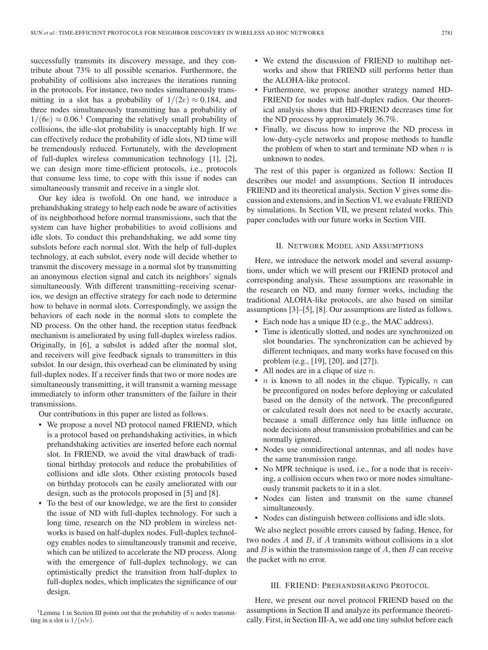successfully transmits its discovery message, and they contribute about 73% to all possible scenarios. Furthermore, the probability of collisions also increases the iterations running in the protocols. For instance, two nodes simultaneously transmitting in a slot has a probability of  $1/(2e) \approx 0.184$ , and three nodes simultaneously transmitting has a probability of  $1/(6e) \approx 0.06$ <sup>1</sup> Comparing the relatively small probability of collisions, the idle-slot probability is unacceptably high. If we can effectively reduce the probability of idle slots, ND time will be tremendously reduced. Fortunately, with the development of full-duplex wireless communication technology [1], [2], we can design more time-efficient protocols, i.e., protocols that consume less time, to cope with this issue if nodes can simultaneously transmit and receive in a single slot.

Our key idea is twofold. On one hand, we introduce a prehandshaking strategy to help each node be aware of activities of its neighborhood before normal transmissions, such that the system can have higher probabilities to avoid collisions and idle slots. To conduct this prehandshaking, we add some tiny subslots before each normal slot. With the help of full-duplex technology, at each subslot, every node will decide whether to transmit the discovery message in a normal slot by transmitting an anonymous election signal and catch its neighbors' signals simultaneously. With different transmitting–receiving scenarios, we design an effective strategy for each node to determine how to behave in normal slots. Correspondingly, we assign the behaviors of each node in the normal slots to complete the ND process. On the other hand, the reception status feedback mechanism is ameliorated by using full-duplex wireless radios. Originally, in [6], a subslot is added after the normal slot, and receivers will give feedback signals to transmitters in this subslot. In our design, this overhead can be eliminated by using full-duplex nodes. If a receiver finds that two or more nodes are simultaneously transmitting, it will transmit a warning message immediately to inform other transmitters of the failure in their transmissions.

Our contributions in this paper are listed as follows.

- We propose a novel ND protocol named FRIEND, which is a protocol based on prehandshaking activities, in which prehandshaking activities are inserted before each normal slot. In FRIEND, we avoid the vital drawback of traditional birthday protocols and reduce the probabilities of collisions and idle slots. Other existing protocols based on birthday protocols can be easily ameliorated with our design, such as the protocols proposed in [5] and [8].
- To the best of our knowledge, we are the first to consider the issue of ND with full-duplex technology. For such a long time, research on the ND problem in wireless networks is based on half-duplex nodes. Full-duplex technology enables nodes to simultaneously transmit and receive, which can be utilized to accelerate the ND process. Along with the emergence of full-duplex technology, we can optimistically predict the transition from half-duplex to full-duplex nodes, which implicates the significance of our design.
- We extend the discussion of FRIEND to multihop networks and show that FRIEND still performs better than the ALOHA-like protocol.
- Furthermore, we propose another strategy named HD-FRIEND for nodes with half-duplex radios. Our theoretical analysis shows that HD-FRIEND decreases time for the ND process by approximately 36.7%.
- Finally, we discuss how to improve the ND process in low-duty-cycle networks and propose methods to handle the problem of when to start and terminate ND when  $n$  is unknown to nodes.

The rest of this paper is organized as follows: Section II describes our model and assumptions. Section II introduces FRIEND and its theoretical analysis. Section V gives some discussion and extensions, and in Section VI, we evaluate FRIEND by simulations. In Section VII, we present related works. This paper concludes with our future works in Section VIII.

## II. NETWORK MODEL AND ASSUMPTIONS

Here, we introduce the network model and several assumptions, under which we will present our FRIEND protocol and corresponding analysis. These assumptions are reasonable in the research on ND, and many former works, including the traditional ALOHA-like protocols, are also based on similar assumptions [3]–[5], [8]. Our assumptions are listed as follows.

- Each node has a unique ID (e.g., the MAC address).
- Time is identically slotted, and nodes are synchronized on slot boundaries. The synchronization can be achieved by different techniques, and many works have focused on this problem (e.g., [19], [20], and [27]).
- All nodes are in a clique of size  $n$ .
- $n$  is known to all nodes in the clique. Typically,  $n$  can be preconfigured on nodes before deploying or calculated based on the density of the network. The preconfigured or calculated result does not need to be exactly accurate, because a small difference only has little influence on node decisions about transmission probabilities and can be normally ignored.
- Nodes use omnidirectional antennas, and all nodes have the same transmission range.
- No MPR technique is used, i.e., for a node that is receiving, a collision occurs when two or more nodes simultaneously transmit packets to it in a slot.
- Nodes can listen and transmit on the same channel simultaneously.
- Nodes can distinguish between collisions and idle slots.

We also neglect possible errors caused by fading. Hence, for two nodes A and B, if A transmits without collisions in a slot and  $B$  is within the transmission range of  $A$ , then  $B$  can receive the packet with no error.

## III. FRIEND: PREHANDSHAKING PROTOCOL

Here, we present our novel protocol FRIEND based on the assumptions in Section II and analyze its performance theoretically. First, in Section III-A, we add one tiny subslot before each

<sup>1</sup>Lemma 1 in Section III points out that the probability of  $n$  nodes transmitting in a slot is  $1/(n!e)$ .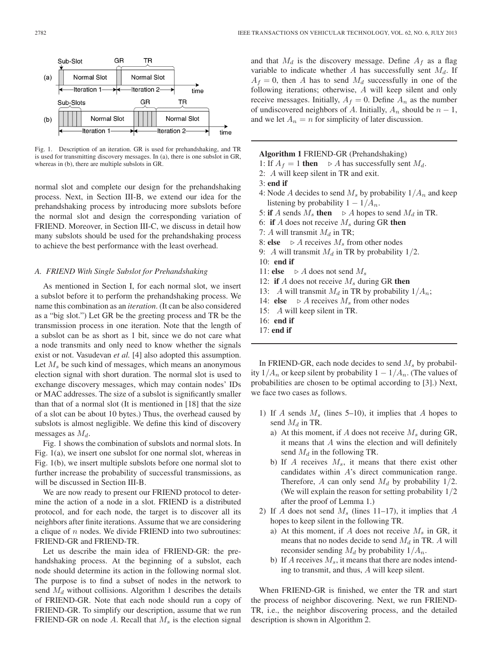

Fig. 1. Description of an iteration. GR is used for prehandshaking, and TR is used for transmitting discovery messages. In (a), there is one subslot in GR, whereas in (b), there are multiple subslots in GR.

normal slot and complete our design for the prehandshaking process. Next, in Section III-B, we extend our idea for the prehandshaking process by introducing more subslots before the normal slot and design the corresponding variation of FRIEND. Moreover, in Section III-C, we discuss in detail how many subslots should be used for the prehandshaking process to achieve the best performance with the least overhead.

## *A. FRIEND With Single Subslot for Prehandshaking*

As mentioned in Section I, for each normal slot, we insert a subslot before it to perform the prehandshaking process. We name this combination as an *iteration*. (It can be also considered as a "big slot.") Let GR be the greeting process and TR be the transmission process in one iteration. Note that the length of a subslot can be as short as 1 bit, since we do not care what a node transmits and only need to know whether the signals exist or not. Vasudevan *et al.* [4] also adopted this assumption. Let  $M_s$  be such kind of messages, which means an anonymous election signal with short duration. The normal slot is used to exchange discovery messages, which may contain nodes' IDs or MAC addresses. The size of a subslot is significantly smaller than that of a normal slot (It is mentioned in [18] that the size of a slot can be about 10 bytes.) Thus, the overhead caused by subslots is almost negligible. We define this kind of discovery messages as  $M_d$ .

Fig. 1 shows the combination of subslots and normal slots. In Fig. 1(a), we insert one subslot for one normal slot, whereas in Fig. 1(b), we insert multiple subslots before one normal slot to further increase the probability of successful transmissions, as will be discussed in Section III-B.

We are now ready to present our FRIEND protocol to determine the action of a node in a slot. FRIEND is a distributed protocol, and for each node, the target is to discover all its neighbors after finite iterations. Assume that we are considering a clique of  $n$  nodes. We divide FRIEND into two subroutines: FRIEND-GR and FRIEND-TR.

Let us describe the main idea of FRIEND-GR: the prehandshaking process. At the beginning of a subslot, each node should determine its action in the following normal slot. The purpose is to find a subset of nodes in the network to send  $M_d$  without collisions. Algorithm 1 describes the details of FRIEND-GR. Note that each node should run a copy of FRIEND-GR. To simplify our description, assume that we run FRIEND-GR on node A. Recall that  $M_s$  is the election signal and that  $M_d$  is the discovery message. Define  $A_f$  as a flag variable to indicate whether A has successfully sent  $M_d$ . If  $A_f = 0$ , then A has to send  $M_d$  successfully in one of the following iterations; otherwise, A will keep silent and only receive messages. Initially,  $A_f = 0$ . Define  $A_n$  as the number of undiscovered neighbors of A. Initially,  $A_n$  should be  $n-1$ , and we let  $A_n = n$  for simplicity of later discussion.

## **Algorithm 1** FRIEND-GR (Prehandshaking)

- 1: If  $A_f = 1$  then  $\Rightarrow$  A has successfully sent  $M_d$ .
- 2: A will keep silent in TR and exit.
- 3: **end if**
- 4: Node A decides to send  $M_s$  by probability  $1/A_n$  and keep listening by probability  $1 - 1/A_n$ .
- 5: **if** A sends  $M_s$  **then**  $\triangleright$  A hopes to send  $M_d$  in TR.
- 6: **if** A does not receive  $M_s$  during GR then
- 7: A will transmit  $M_d$  in TR;
- 8: **else**  $\triangleright$  A receives  $M_s$  from other nodes
- 9: A will transmit  $M_d$  in TR by probability 1/2.
- 10: **end if**
- 11: **else**  $\triangleright$  A does not send  $M_s$
- 12: **if** A does not receive  $M_s$  during GR then
- 13: A will transmit  $M_d$  in TR by probability  $1/A_n$ ;
- 14: **else**  $\triangleright$  A receives  $M_s$  from other nodes
- 15: A will keep silent in TR.
- 16: **end if**
- 17: **end if**

In FRIEND-GR, each node decides to send  $M_s$  by probability  $1/A_n$  or keep silent by probability  $1 - 1/A_n$ . (The values of probabilities are chosen to be optimal according to [3].) Next, we face two cases as follows.

- 1) If A sends  $M_s$  (lines 5–10), it implies that A hopes to send  $M_d$  in TR.
	- a) At this moment, if A does not receive  $M_s$  during GR, it means that A wins the election and will definitely send  $M_d$  in the following TR.
	- b) If A receives  $M_s$ , it means that there exist other candidates within A's direct communication range. Therefore, A can only send  $M_d$  by probability 1/2. (We will explain the reason for setting probability 1/2 after the proof of Lemma 1.)
- 2) If A does not send  $M_s$  (lines 11–17), it implies that A hopes to keep silent in the following TR.
	- a) At this moment, if A does not receive  $M_s$  in GR, it means that no nodes decide to send  $M_d$  in TR. A will reconsider sending  $M_d$  by probability  $1/A_n$ .
	- b) If A receives  $M_s$ , it means that there are nodes intending to transmit, and thus, A will keep silent.

When FRIEND-GR is finished, we enter the TR and start the process of neighbor discovering. Next, we run FRIEND-TR, i.e., the neighbor discovering process, and the detailed description is shown in Algorithm 2.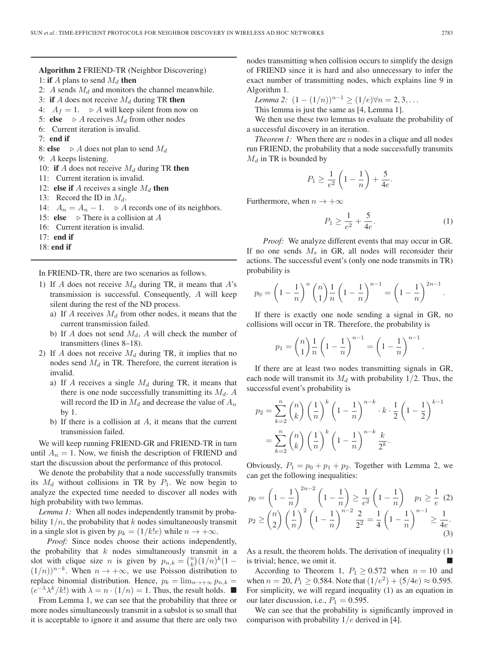**Algorithm 2** FRIEND-TR (Neighbor Discovering)

1: if 
$$
A
$$
 plans to send  $M_d$  then

- 2: A sends  $M_d$  and monitors the channel meanwhile.
- 3: **if** A does not receive  $M_d$  during TR **then**
- 4:  $A_f = 1. \Rightarrow A$  will keep silent from now on
- 5: **else**  $\triangleright$  A receives  $M_d$  from other nodes
- 6: Current iteration is invalid.
- 7: **end if**
- 8: **else**  $\triangleright$  A does not plan to send  $M_d$
- 9: A keeps listening.
- 10: **if** A does not receive  $M_d$  during TR **then**
- 11: Current iteration is invalid.
- 12: **else if** A receives a single  $M_d$  **then**
- 13: Record the ID in  $M_d$ .

14:  $A_n = A_n - 1.$  > A records one of its neighbors.

- 15: **else**  $\triangleright$  There is a collision at A
- 16: Current iteration is invalid.
- 17: **end if**
- 18: **end if**

In FRIEND-TR, there are two scenarios as follows.

- 1) If A does not receive  $M_d$  during TR, it means that A's transmission is successful. Consequently, A will keep silent during the rest of the ND process.
	- a) If A receives  $M_d$  from other nodes, it means that the current transmission failed.
	- b) If A does not send  $M_d$ , A will check the number of transmitters (lines 8–18).
- 2) If A does not receive  $M_d$  during TR, it implies that no nodes send  $M_d$  in TR. Therefore, the current iteration is invalid.
	- a) If A receives a single  $M_d$  during TR, it means that there is one node successfully transmitting its  $M_d$ . A will record the ID in  $M_d$  and decrease the value of  $A_n$ by 1.
	- b) If there is a collision at  $A$ , it means that the current transmission failed.

We will keep running FRIEND-GR and FRIEND-TR in turn until  $A_n = 1$ . Now, we finish the description of FRIEND and start the discussion about the performance of this protocol.

We denote the probability that a node successfully transmits its  $M_d$  without collisions in TR by  $P_1$ . We now begin to analyze the expected time needed to discover all nodes with high probability with two lemmas.

*Lemma 1:* When all nodes independently transmit by probability  $1/n$ , the probability that k nodes simultaneously transmit in a single slot is given by  $p_k = (1/k!e)$  while  $n \to +\infty$ .

*Proof:* Since nodes choose their actions independently, the probability that  $k$  nodes simultaneously transmit in a slot with clique size *n* is given by  $p_{n,k} = {n \choose k} (1/n)^k (1 (1/n))^{n-k}$ . When  $n \to +\infty$ , we use Poisson distribution to replace binomial distribution. Hence,  $p_k = \lim_{n \to +\infty} p_{n,k} =$  $(e^{-\lambda}\lambda^k/k!)$  with  $\lambda = n \cdot (1/n) = 1$ . Thus, the result holds.  $\blacksquare$ 

From Lemma 1, we can see that the probability that three or more nodes simultaneously transmit in a subslot is so small that it is acceptable to ignore it and assume that there are only two nodes transmitting when collision occurs to simplify the design of FRIEND since it is hard and also unnecessary to infer the exact number of transmitting nodes, which explains line 9 in Algorithm 1.

*Lemma* 2:  $(1 - (1/n))^{n-1} \ge (1/e) \forall n = 2, 3, ...$ 

This lemma is just the same as [4, Lemma 1].

We then use these two lemmas to evaluate the probability of a successful discovery in an iteration.

*Theorem 1:* When there are  $n$  nodes in a clique and all nodes run FRIEND, the probability that a node successfully transmits  $M_d$  in TR is bounded by

$$
P_1 \ge \frac{1}{e^2} \left( 1 - \frac{1}{n} \right) + \frac{5}{4e}.
$$

Furthermore, when  $n \to +\infty$ 

$$
P_1 \ge \frac{1}{e^2} + \frac{5}{4e}.\tag{1}
$$

.

*Proof:* We analyze different events that may occur in GR. If no one sends  $M_s$  in GR, all nodes will reconsider their actions. The successful event's (only one node transmits in TR) probability is

$$
p_0 = \left(1 - \frac{1}{n}\right)^n \binom{n}{1} \frac{1}{n} \left(1 - \frac{1}{n}\right)^{n-1} = \left(1 - \frac{1}{n}\right)^{2n-1}.
$$

If there is exactly one node sending a signal in GR, no collisions will occur in TR. Therefore, the probability is

$$
p_1 = \binom{n}{1} \frac{1}{n} \left( 1 - \frac{1}{n} \right)^{n-1} = \left( 1 - \frac{1}{n} \right)^{n-1}
$$

If there are at least two nodes transmitting signals in GR, each node will transmit its  $M_d$  with probability 1/2. Thus, the successful event's probability is

$$
p_2 = \sum_{k=2}^n {n \choose k} \left(\frac{1}{n}\right)^k \left(1 - \frac{1}{n}\right)^{n-k} \cdot k \cdot \frac{1}{2} \left(1 - \frac{1}{2}\right)^{k-1}
$$

$$
= \sum_{k=2}^n {n \choose k} \left(\frac{1}{n}\right)^k \left(1 - \frac{1}{n}\right)^{n-k} \frac{k}{2^k}.
$$

Obviously,  $P_1 = p_0 + p_1 + p_2$ . Together with Lemma 2, we can get the following inequalities:

$$
p_0 = \left(1 - \frac{1}{n}\right)^{2n-2} \left(1 - \frac{1}{n}\right) \ge \frac{1}{e^2} \left(1 - \frac{1}{n}\right) \quad p_1 \ge \frac{1}{e} \tag{2}
$$
\n
$$
p_2 \ge \binom{n}{2} \left(\frac{1}{n}\right)^2 \left(1 - \frac{1}{n}\right)^{n-2} \frac{2}{2^2} = \frac{1}{4} \left(1 - \frac{1}{n}\right)^{n-1} \ge \frac{1}{4e}.\tag{3}
$$

As a result, the theorem holds. The derivation of inequality (1) is trivial; hence, we omit it.

According to Theorem 1,  $P_1 \ge 0.572$  when  $n = 10$  and when  $n = 20$ ,  $P_1 \ge 0.584$ . Note that  $(1/e^2) + (5/4e) \approx 0.595$ . For simplicity, we will regard inequality (1) as an equation in our later discussion, i.e.,  $P_1 = 0.595$ .

We can see that the probability is significantly improved in comparison with probability 1/e derived in [4].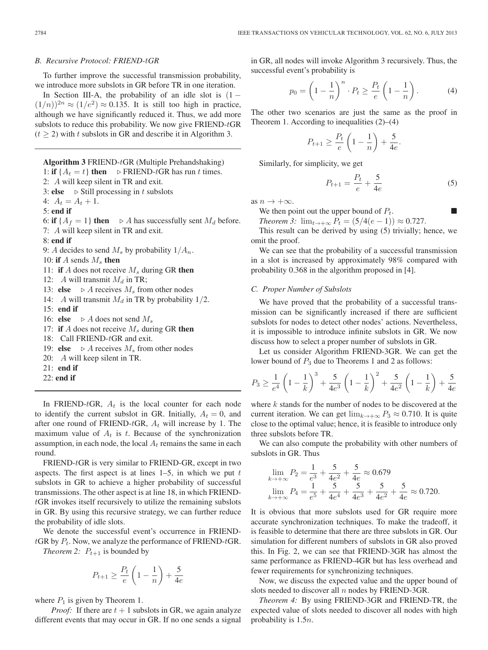## *B. Recursive Protocol: FRIEND-*t*GR*

To further improve the successful transmission probability, we introduce more subslots in GR before TR in one iteration.

In Section III-A, the probability of an idle slot is  $(1 (1/n))^{2n} \approx (1/e^2) \approx 0.135$ . It is still too high in practice, although we have significantly reduced it. Thus, we add more subslots to reduce this probability. We now give  $FRIEND-tGR$  $(t \geq 2)$  with t subslots in GR and describe it in Algorithm 3.

**Algorithm 3** FRIEND-tGR (Multiple Prehandshaking) 1: **if**  $\{A_t = t\}$  **then**  $\triangleright$  FRIEND-*t*GR has run *t* times. 2: A will keep silent in TR and exit. 3: **else**  $\triangleright$  Still processing in t subslots 4:  $A_t = A_t + 1$ . 5: **end if** 6: **if**  $\{A_f = 1\}$  **then**  $\triangleright$  A has successfully sent  $M_d$  before. 7: A will keep silent in TR and exit. 8: **end if** 9: A decides to send  $M_s$  by probability  $1/A_n$ . 10: **if**  $A$  sends  $M_s$  **then** 11: **if** A does not receive  $M_s$  during GR **then** 12: A will transmit  $M_d$  in TR; 13: **else**  $\triangleright$  A receives  $M_s$  from other nodes 14: A will transmit  $M_d$  in TR by probability 1/2. 15: **end if** 16: **else** - $\triangleright$  A does not send  $M_s$ 17: **if** A does not receive  $M_s$  during GR then 18: Call FRIEND-tGR and exit. 19: **else**  $\triangleright$  A receives  $M_s$  from other nodes 20: A will keep silent in TR. 21: **end if**

22: **end if**

In FRIEND- $t$ GR,  $A_t$  is the local counter for each node to identify the current subslot in GR. Initially,  $A_t = 0$ , and after one round of FRIEND-tGR,  $A_t$  will increase by 1. The maximum value of  $A_t$  is t. Because of the synchronization assumption, in each node, the local  $A_t$  remains the same in each round.

FRIEND-tGR is very similar to FRIEND-GR, except in two aspects. The first aspect is at lines  $1-5$ , in which we put t subslots in GR to achieve a higher probability of successful transmissions. The other aspect is at line 18, in which FRIENDtGR invokes itself recursively to utilize the remaining subslots in GR. By using this recursive strategy, we can further reduce the probability of idle slots.

We denote the successful event's occurrence in FRIEND $t$ GR by  $P_t$ . Now, we analyze the performance of FRIEND- $t$ GR.

*Theorem 2:*  $P_{t+1}$  is bounded by

$$
P_{t+1} \ge \frac{P_t}{e} \left( 1 - \frac{1}{n} \right) + \frac{5}{4e}
$$

where  $P_1$  is given by Theorem 1.

*Proof:* If there are  $t + 1$  subslots in GR, we again analyze different events that may occur in GR. If no one sends a signal in GR, all nodes will invoke Algorithm 3 recursively. Thus, the successful event's probability is

$$
p_0 = \left(1 - \frac{1}{n}\right)^n \cdot P_t \ge \frac{P_t}{e} \left(1 - \frac{1}{n}\right). \tag{4}
$$

The other two scenarios are just the same as the proof in Theorem 1. According to inequalities (2)–(4)

$$
P_{t+1} \ge \frac{P_t}{e} \left( 1 - \frac{1}{n} \right) + \frac{5}{4e}.
$$

Similarly, for simplicity, we get

$$
P_{t+1} = \frac{P_t}{e} + \frac{5}{4e} \tag{5}
$$

as  $n \to +\infty$ .

We then point out the upper bound of  $P_t$ .

*Theorem 3:*  $\lim_{t \to +\infty} P_t = (5/4(e-1)) \approx 0.727$ .

This result can be derived by using (5) trivially; hence, we omit the proof.

We can see that the probability of a successful transmission in a slot is increased by approximately 98% compared with probability 0.368 in the algorithm proposed in [4].

## *C. Proper Number of Subslots*

We have proved that the probability of a successful transmission can be significantly increased if there are sufficient subslots for nodes to detect other nodes' actions. Nevertheless, it is impossible to introduce infinite subslots in GR. We now discuss how to select a proper number of subslots in GR.

Let us consider Algorithm FRIEND-3GR. We can get the lower bound of  $P_3$  due to Theorems 1 and 2 as follows:

$$
P_3 \ge \frac{1}{e^4} \left( 1 - \frac{1}{k} \right)^3 + \frac{5}{4e^3} \left( 1 - \frac{1}{k} \right)^2 + \frac{5}{4e^2} \left( 1 - \frac{1}{k} \right) + \frac{5}{4e}
$$

where  $k$  stands for the number of nodes to be discovered at the current iteration. We can get  $\lim_{k \to +\infty} P_3 \approx 0.710$ . It is quite close to the optimal value; hence, it is feasible to introduce only three subslots before TR.

We can also compute the probability with other numbers of subslots in GR. Thus

$$
\lim_{k \to +\infty} P_2 = \frac{1}{e^3} + \frac{5}{4e^2} + \frac{5}{4e} \approx 0.679
$$
  

$$
\lim_{k \to +\infty} P_4 = \frac{1}{e^5} + \frac{5}{4e^4} + \frac{5}{4e^3} + \frac{5}{4e^2} + \frac{5}{4e} \approx 0.720.
$$

It is obvious that more subslots used for GR require more accurate synchronization techniques. To make the tradeoff, it is feasible to determine that there are three subslots in GR. Our simulation for different numbers of subslots in GR also proved this. In Fig. 2, we can see that FRIEND-3GR has almost the same performance as FRIEND-4GR but has less overhead and fewer requirements for synchronizing techniques.

Now, we discuss the expected value and the upper bound of slots needed to discover all  $n$  nodes by FRIEND-3GR.

*Theorem 4:* By using FRIEND-3GR and FRIEND-TR, the expected value of slots needed to discover all nodes with high probability is  $1.5n$ .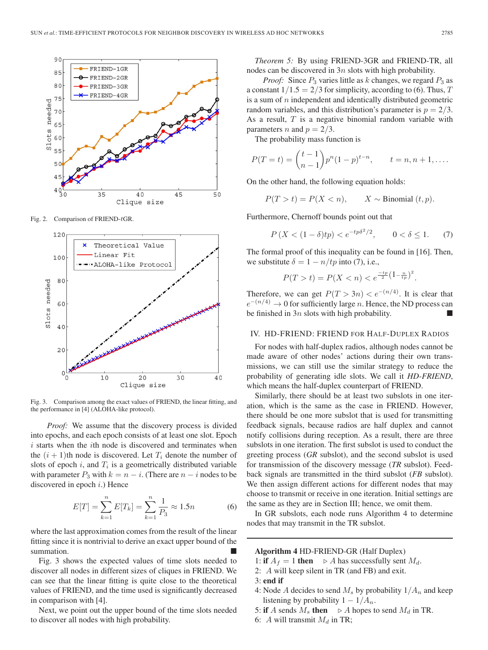

Fig. 2. Comparison of FRIEND-tGR.



Fig. 3. Comparison among the exact values of FRIEND, the linear fitting, and the performance in [4] (ALOHA-like protocol).

*Proof:* We assume that the discovery process is divided into epochs, and each epoch consists of at least one slot. Epoch  $i$  starts when the  $i$ th node is discovered and terminates when the  $(i + 1)$ th node is discovered. Let  $T_i$  denote the number of slots of epoch  $i$ , and  $T_i$  is a geometrically distributed variable with parameter  $P_3$  with  $k = n - i$ . (There are  $n - i$  nodes to be discovered in epoch  $i$ .) Hence

$$
E[T] = \sum_{k=1}^{n} E[T_k] = \sum_{k=1}^{n} \frac{1}{P_3} \approx 1.5n
$$
 (6)

where the last approximation comes from the result of the linear fitting since it is nontrivial to derive an exact upper bound of the summation.

Fig. 3 shows the expected values of time slots needed to discover all nodes in different sizes of cliques in FRIEND. We can see that the linear fitting is quite close to the theoretical values of FRIEND, and the time used is significantly decreased in comparison with [4].

Next, we point out the upper bound of the time slots needed to discover all nodes with high probability.

*Theorem 5:* By using FRIEND-3GR and FRIEND-TR, all nodes can be discovered in  $3n$  slots with high probability.

*Proof:* Since  $P_3$  varies little as k changes, we regard  $P_3$  as a constant  $1/1.5 = 2/3$  for simplicity, according to (6). Thus, T is a sum of  $n$  independent and identically distributed geometric random variables, and this distribution's parameter is  $p = 2/3$ . As a result,  $T$  is a negative binomial random variable with parameters *n* and  $p = 2/3$ .

The probability mass function is

$$
P(T = t) = {t-1 \choose n-1} p^{n} (1-p)^{t-n}, \qquad t = n, n+1, ....
$$

On the other hand, the following equation holds:

$$
P(T > t) = P(X < n), \qquad X \sim \text{Binomial}(t, p).
$$

Furthermore, Chernoff bounds point out that

$$
P(X < (1 - \delta)tp) < e^{-tp\delta^2/2}, \qquad 0 < \delta \le 1. \tag{7}
$$

The formal proof of this inequality can be found in [16]. Then, we substitute  $\delta = 1 - n/tp$  into (7), i.e.,

$$
P(T > t) = P(X < n) < e^{\frac{-tp}{2}(1 - \frac{n}{tp})^2}.
$$

Therefore, we can get  $P(T > 3n) < e^{-(n/4)}$ . It is clear that  $e^{-(n/4)} \rightarrow 0$  for sufficiently large n. Hence, the ND process can be finished in  $3n$  slots with high probability.

## IV. HD-FRIEND: FRIEND FOR HALF-DUPLEX RADIOS

For nodes with half-duplex radios, although nodes cannot be made aware of other nodes' actions during their own transmissions, we can still use the similar strategy to reduce the probability of generating idle slots. We call it *HD-FRIEND*, which means the half-duplex counterpart of FRIEND.

Similarly, there should be at least two subslots in one iteration, which is the same as the case in FRIEND. However, there should be one more subslot that is used for transmitting feedback signals, because radios are half duplex and cannot notify collisions during reception. As a result, there are three subslots in one iteration. The first subslot is used to conduct the greeting process (*GR* subslot), and the second subslot is used for transmission of the discovery message (*TR* subslot). Feedback signals are transmitted in the third subslot (*FB* subslot). We then assign different actions for different nodes that may choose to transmit or receive in one iteration. Initial settings are the same as they are in Section III; hence, we omit them.

In GR subslots, each node runs Algorithm 4 to determine nodes that may transmit in the TR subslot.

#### **Algorithm 4** HD-FRIEND-GR (Half Duplex)

1: **if**  $A_f = 1$  **then**  $\triangleright$  A has successfully sent  $M_d$ .

- 2: A will keep silent in TR (and FB) and exit.
- 3: **end if**
- 4: Node A decides to send  $M_s$  by probability  $1/A_n$  and keep listening by probability  $1 - 1/A_n$ .
- 5: **if** A sends  $M_s$  **then**  $\triangleright$  A hopes to send  $M_d$  in TR.
- 6: A will transmit  $M_d$  in TR;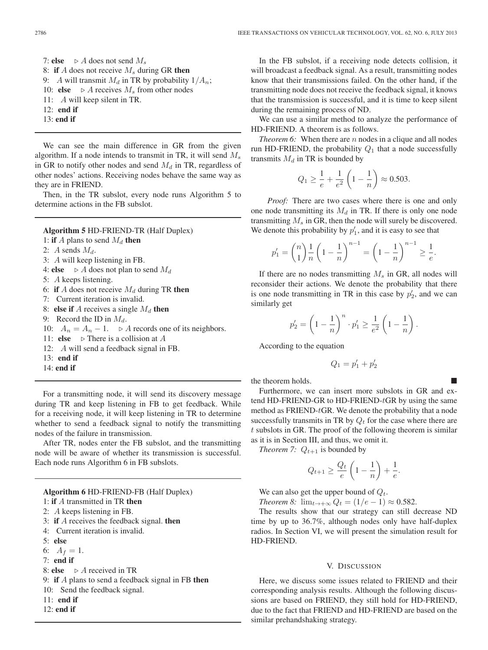7: **else**  $\triangleright$  A does not send  $M_s$ 8: **if** A does not receive  $M_s$  during GR **then** 9: A will transmit  $M_d$  in TR by probability  $1/A_n$ ; 10: **else**  $\triangleright$  A receives  $M_s$  from other nodes 11: A will keep silent in TR. 12: **end if**

13: **end if**

We can see the main difference in GR from the given algorithm. If a node intends to transmit in TR, it will send  $M_s$ in GR to notify other nodes and send  $M_d$  in TR, regardless of other nodes' actions. Receiving nodes behave the same way as they are in FRIEND.

Then, in the TR subslot, every node runs Algorithm 5 to determine actions in the FB subslot.

**Algorithm 5** HD-FRIEND-TR (Half Duplex)

- 1: **if** A plans to send  $M_d$  **then**
- 2: A sends  $M_d$ .
- 3: A will keep listening in FB.
- 4: **else**  $\triangleright$  A does not plan to send  $M_d$
- 5: A keeps listening.
- 6: **if** A does not receive  $M_d$  during TR **then**
- 7: Current iteration is invalid.
- 8: **else if** A receives a single  $M_d$  **then**
- 9: Record the ID in  $M_d$ .

10:  $A_n = A_n - 1.$   $\triangleright$  A records one of its neighbors.

- 11: **else**  $\triangleright$  There is a collision at A
- 12: A will send a feedback signal in FB.
- 13: **end if**
- 14: **end if**

For a transmitting node, it will send its discovery message during TR and keep listening in FB to get feedback. While for a receiving node, it will keep listening in TR to determine whether to send a feedback signal to notify the transmitting nodes of the failure in transmission.

After TR, nodes enter the FB subslot, and the transmitting node will be aware of whether its transmission is successful. Each node runs Algorithm 6 in FB subslots.

|   |  |  |                    |  | Algorithm 6 HD-FRIEND-FB (Half Duplex) |
|---|--|--|--------------------|--|----------------------------------------|
| . |  |  | $\cdots$ it mounts |  |                                        |

- 1: **if** A transmitted in TR **then**
- 2: A keeps listening in FB.
- 3: **if** A receives the feedback signal. **then**
- 4: Current iteration is invalid.
- 5: **else**
- 6:  $A_f = 1$ .
- 7: **end if**

8: **else**  $\triangleright$  A received in TR

- 9: **if** A plans to send a feedback signal in FB **then**
- 10: Send the feedback signal.
- 11: **end if**
- 12: **end if**

In the FB subslot, if a receiving node detects collision, it will broadcast a feedback signal. As a result, transmitting nodes know that their transmissions failed. On the other hand, if the transmitting node does not receive the feedback signal, it knows that the transmission is successful, and it is time to keep silent during the remaining process of ND.

We can use a similar method to analyze the performance of HD-FRIEND. A theorem is as follows.

*Theorem 6:* When there are  $n$  nodes in a clique and all nodes run HD-FRIEND, the probability  $Q_1$  that a node successfully transmits  $M_d$  in TR is bounded by

$$
Q_1 \ge \frac{1}{e} + \frac{1}{e^2} \left( 1 - \frac{1}{n} \right) \approx 0.503.
$$

*Proof:* There are two cases where there is one and only one node transmitting its  $M_d$  in TR. If there is only one node transmitting  $M_s$  in GR, then the node will surely be discovered. We denote this probability by  $p'_1$ , and it is easy to see that

$$
p_1' = \binom{n}{1} \frac{1}{n} \left( 1 - \frac{1}{n} \right)^{n-1} = \left( 1 - \frac{1}{n} \right)^{n-1} \ge \frac{1}{e}.
$$

If there are no nodes transmitting  $M_s$  in GR, all nodes will reconsider their actions. We denote the probability that there is one node transmitting in TR in this case by  $p_2'$ , and we can similarly get

$$
p'_2 = \left(1 - \frac{1}{n}\right)^n \cdot p'_1 \ge \frac{1}{e^2} \left(1 - \frac{1}{n}\right).
$$

According to the equation

$$
Q_1 = p'_1 + p'_2
$$

the theorem holds.

Furthermore, we can insert more subslots in GR and extend HD-FRIEND-GR to HD-FRIEND- $t$ GR by using the same method as FRIEND- $t$ GR. We denote the probability that a node successfully transmits in TR by  $Q_t$  for the case where there are t subslots in GR. The proof of the following theorem is similar as it is in Section III, and thus, we omit it.

*Theorem 7:*  $Q_{t+1}$  is bounded by

$$
Q_{t+1} \ge \frac{Q_t}{e} \left( 1 - \frac{1}{n} \right) + \frac{1}{e}.
$$

We can also get the upper bound of  $Q_t$ .

*Theorem 8:*  $\lim_{t \to +\infty} Q_t = (1/e - 1) \approx 0.582$ .

The results show that our strategy can still decrease ND time by up to 36.7%, although nodes only have half-duplex radios. In Section VI, we will present the simulation result for HD-FRIEND.

## V. DISCUSSION

Here, we discuss some issues related to FRIEND and their corresponding analysis results. Although the following discussions are based on FRIEND, they still hold for HD-FRIEND, due to the fact that FRIEND and HD-FRIEND are based on the similar prehandshaking strategy.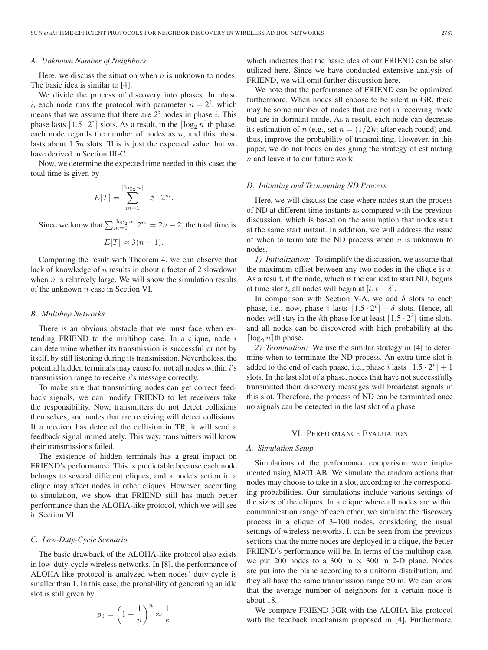#### *A. Unknown Number of Neighbors*

Here, we discuss the situation when  $n$  is unknown to nodes. The basic idea is similar to [4].

We divide the process of discovery into phases. In phase i, each node runs the protocol with parameter  $n = 2<sup>i</sup>$ , which means that we assume that there are  $2<sup>i</sup>$  nodes in phase i. This phase lasts  $\lceil 1.5 \cdot 2^i \rceil$  slots. As a result, in the  $\lceil \log_2 n \rceil$ th phase, each node regards the number of nodes as  $n$ , and this phase lasts about  $1.5n$  slots. This is just the expected value that we have derived in Section III-C.

Now, we determine the expected time needed in this case; the total time is given by

$$
E[T] = \sum_{m=1}^{\lceil \log_2 n \rceil} 1.5 \cdot 2^m.
$$

Since we know that  $\sum_{m=1}^{\lceil \log_2 n \rceil} 2^m = 2n - 2$ , the total time is

$$
E[T] \approx 3(n-1).
$$

Comparing the result with Theorem 4, we can observe that lack of knowledge of  $n$  results in about a factor of 2 slowdown when  $n$  is relatively large. We will show the simulation results of the unknown  $n$  case in Section VI.

#### *B. Multihop Networks*

There is an obvious obstacle that we must face when extending FRIEND to the multihop case. In a clique, node  $i$ can determine whether its transmission is successful or not by itself, by still listening during its transmission. Nevertheless, the potential hidden terminals may cause for not all nodes within i's transmission range to receive i's message correctly.

To make sure that transmitting nodes can get correct feedback signals, we can modify FRIEND to let receivers take the responsibility. Now, transmitters do not detect collisions themselves, and nodes that are receiving will detect collisions. If a receiver has detected the collision in TR, it will send a feedback signal immediately. This way, transmitters will know their transmissions failed.

The existence of hidden terminals has a great impact on FRIEND's performance. This is predictable because each node belongs to several different cliques, and a node's action in a clique may affect nodes in other cliques. However, according to simulation, we show that FRIEND still has much better performance than the ALOHA-like protocol, which we will see in Section VI.

#### *C. Low-Duty-Cycle Scenario*

The basic drawback of the ALOHA-like protocol also exists in low-duty-cycle wireless networks. In [8], the performance of ALOHA-like protocol is analyzed when nodes' duty cycle is smaller than 1. In this case, the probability of generating an idle slot is still given by

$$
p_0 = \left(1 - \frac{1}{n}\right)^n \approx \frac{1}{e}
$$

which indicates that the basic idea of our FRIEND can be also utilized here. Since we have conducted extensive analysis of FRIEND, we will omit further discussion here.

We note that the performance of FRIEND can be optimized furthermore. When nodes all choose to be silent in GR, there may be some number of nodes that are not in receiving mode but are in dormant mode. As a result, each node can decrease its estimation of n (e.g., set  $n = (1/2)n$  after each round) and, thus, improve the probability of transmitting. However, in this paper, we do not focus on designing the strategy of estimating  $n$  and leave it to our future work.

#### *D. Initiating and Terminating ND Process*

Here, we will discuss the case where nodes start the process of ND at different time instants as compared with the previous discussion, which is based on the assumption that nodes start at the same start instant. In addition, we will address the issue of when to terminate the ND process when  $n$  is unknown to nodes.

*1) Initialization:* To simplify the discussion, we assume that the maximum offset between any two nodes in the clique is  $\delta$ . As a result, if the node, which is the earliest to start ND, begins at time slot t, all nodes will begin at  $[t, t + \delta]$ .

In comparison with Section V-A, we add  $\delta$  slots to each phase, i.e., now, phase i lasts  $\lceil 1.5 \cdot 2^{i} \rceil + \delta$  slots. Hence, all nodes will stay in the *i*th phase for at least  $\left[1.5 \cdot 2^{i}\right]$  time slots, and all nodes can be discovered with high probability at the  $\lceil \log_2 n \rceil$ th phase.

*2) Termination:* We use the similar strategy in [4] to determine when to terminate the ND process. An extra time slot is added to the end of each phase, i.e., phase i lasts  $\lceil 1.5 \cdot 2^{i} \rceil + 1$ slots. In the last slot of a phase, nodes that have not successfully transmitted their discovery messages will broadcast signals in this slot. Therefore, the process of ND can be terminated once no signals can be detected in the last slot of a phase.

## VI. PERFORMANCE EVALUATION

## *A. Simulation Setup*

Simulations of the performance comparison were implemented using MATLAB. We simulate the random actions that nodes may choose to take in a slot, according to the corresponding probabilities. Our simulations include various settings of the sizes of the cliques. In a clique where all nodes are within communication range of each other, we simulate the discovery process in a clique of 3–100 nodes, considering the usual settings of wireless networks. It can be seen from the previous sections that the more nodes are deployed in a clique, the better FRIEND's performance will be. In terms of the multihop case, we put 200 nodes to a 300 m  $\times$  300 m 2-D plane. Nodes are put into the plane according to a uniform distribution, and they all have the same transmission range 50 m. We can know that the average number of neighbors for a certain node is about 18.

We compare FRIEND-3GR with the ALOHA-like protocol with the feedback mechanism proposed in [4]. Furthermore,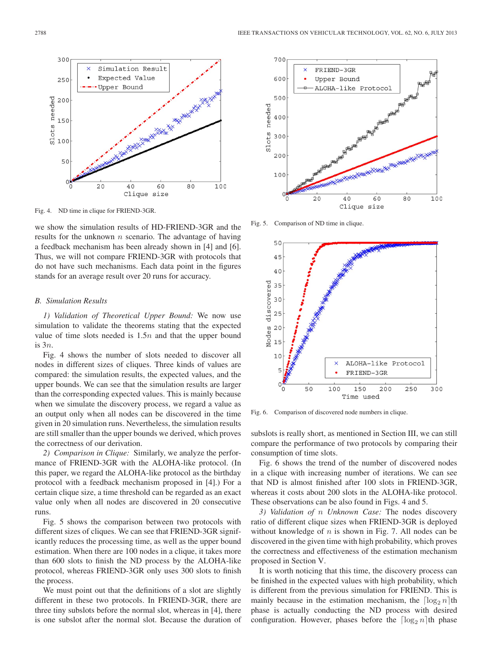

Fig. 4. ND time in clique for FRIEND-3GR.

we show the simulation results of HD-FRIEND-3GR and the results for the unknown  $n$  scenario. The advantage of having a feedback mechanism has been already shown in [4] and [6]. Thus, we will not compare FRIEND-3GR with protocols that do not have such mechanisms. Each data point in the figures stands for an average result over 20 runs for accuracy.

#### *B. Simulation Results*

*1) Validation of Theoretical Upper Bound:* We now use simulation to validate the theorems stating that the expected value of time slots needed is  $1.5n$  and that the upper bound is 3n.

Fig. 4 shows the number of slots needed to discover all nodes in different sizes of cliques. Three kinds of values are compared: the simulation results, the expected values, and the upper bounds. We can see that the simulation results are larger than the corresponding expected values. This is mainly because when we simulate the discovery process, we regard a value as an output only when all nodes can be discovered in the time given in 20 simulation runs. Nevertheless, the simulation results are still smaller than the upper bounds we derived, which proves the correctness of our derivation.

*2) Comparison in Clique:* Similarly, we analyze the performance of FRIEND-3GR with the ALOHA-like protocol. (In this paper, we regard the ALOHA-like protocol as the birthday protocol with a feedback mechanism proposed in [4].) For a certain clique size, a time threshold can be regarded as an exact value only when all nodes are discovered in 20 consecutive runs.

Fig. 5 shows the comparison between two protocols with different sizes of cliques. We can see that FRIEND-3GR significantly reduces the processing time, as well as the upper bound estimation. When there are 100 nodes in a clique, it takes more than 600 slots to finish the ND process by the ALOHA-like protocol, whereas FRIEND-3GR only uses 300 slots to finish the process.

We must point out that the definitions of a slot are slightly different in these two protocols. In FRIEND-3GR, there are three tiny subslots before the normal slot, whereas in [4], there is one subslot after the normal slot. Because the duration of



Fig. 5. Comparison of ND time in clique.



Fig. 6. Comparison of discovered node numbers in clique.

subslots is really short, as mentioned in Section III, we can still compare the performance of two protocols by comparing their consumption of time slots.

Fig. 6 shows the trend of the number of discovered nodes in a clique with increasing number of iterations. We can see that ND is almost finished after 100 slots in FRIEND-3GR, whereas it costs about 200 slots in the ALOHA-like protocol. These observations can be also found in Figs. 4 and 5.

*3) Validation of* n *Unknown Case:* The nodes discovery ratio of different clique sizes when FRIEND-3GR is deployed without knowledge of  $n$  is shown in Fig. 7. All nodes can be discovered in the given time with high probability, which proves the correctness and effectiveness of the estimation mechanism proposed in Section V.

It is worth noticing that this time, the discovery process can be finished in the expected values with high probability, which is different from the previous simulation for FRIEND. This is mainly because in the estimation mechanism, the  $\lceil \log_2 n \rceil$ th phase is actually conducting the ND process with desired configuration. However, phases before the  $\lceil \log_2 n \rceil$ th phase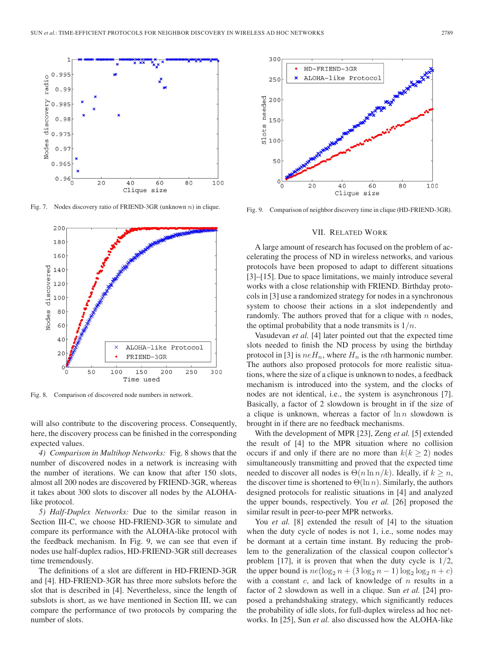

Fig. 7. Nodes discovery ratio of FRIEND-3GR (unknown  $n$ ) in clique.



Fig. 8. Comparison of discovered node numbers in network.

will also contribute to the discovering process. Consequently, here, the discovery process can be finished in the corresponding expected values.

*4) Comparison in Multihop Networks:* Fig. 8 shows that the number of discovered nodes in a network is increasing with the number of iterations. We can know that after 150 slots, almost all 200 nodes are discovered by FRIEND-3GR, whereas it takes about 300 slots to discover all nodes by the ALOHAlike protocol.

*5) Half-Duplex Networks:* Due to the similar reason in Section III-C, we choose HD-FRIEND-3GR to simulate and compare its performance with the ALOHA-like protocol with the feedback mechanism. In Fig. 9, we can see that even if nodes use half-duplex radios, HD-FRIEND-3GR still decreases time tremendously.

The definitions of a slot are different in HD-FRIEND-3GR and [4]. HD-FRIEND-3GR has three more subslots before the slot that is described in [4]. Nevertheless, since the length of subslots is short, as we have mentioned in Section III, we can compare the performance of two protocols by comparing the number of slots.



Fig. 9. Comparison of neighbor discovery time in clique (HD-FRIEND-3GR).

## VII. RELATED WORK

A large amount of research has focused on the problem of accelerating the process of ND in wireless networks, and various protocols have been proposed to adapt to different situations [3]–[15]. Due to space limitations, we mainly introduce several works with a close relationship with FRIEND. Birthday protocols in [3] use a randomized strategy for nodes in a synchronous system to choose their actions in a slot independently and randomly. The authors proved that for a clique with  $n$  nodes, the optimal probability that a node transmits is  $1/n$ .

Vasudevan *et al.* [4] later pointed out that the expected time slots needed to finish the ND process by using the birthday protocol in [3] is  $neH_n$ , where  $H_n$  is the *n*th harmonic number. The authors also proposed protocols for more realistic situations, where the size of a clique is unknown to nodes, a feedback mechanism is introduced into the system, and the clocks of nodes are not identical, i.e., the system is asynchronous [7]. Basically, a factor of 2 slowdown is brought in if the size of a clique is unknown, whereas a factor of  $\ln n$  slowdown is brought in if there are no feedback mechanisms.

With the development of MPR [23], Zeng *et al.* [5] extended the result of [4] to the MPR situation where no collision occurs if and only if there are no more than  $k(k \geq 2)$  nodes simultaneously transmitting and proved that the expected time needed to discover all nodes is  $\Theta(n \ln n/k)$ . Ideally, if  $k \geq n$ , the discover time is shortened to  $\Theta(\ln n)$ . Similarly, the authors designed protocols for realistic situations in [4] and analyzed the upper bounds, respectively. You *et al.* [26] proposed the similar result in peer-to-peer MPR networks.

You *et al.* [8] extended the result of [4] to the situation when the duty cycle of nodes is not 1, i.e., some nodes may be dormant at a certain time instant. By reducing the problem to the generalization of the classical coupon collector's problem [17], it is proven that when the duty cycle is  $1/2$ , the upper bound is  $ne(\log_2 n + (3 \log_2 n - 1) \log_2 \log_2 n + c)$ with a constant  $c$ , and lack of knowledge of  $n$  results in a factor of 2 slowdown as well in a clique. Sun *et al.* [24] proposed a prehandshaking strategy, which significantly reduces the probability of idle slots, for full-duplex wireless ad hoc networks. In [25], Sun *et al.* also discussed how the ALOHA-like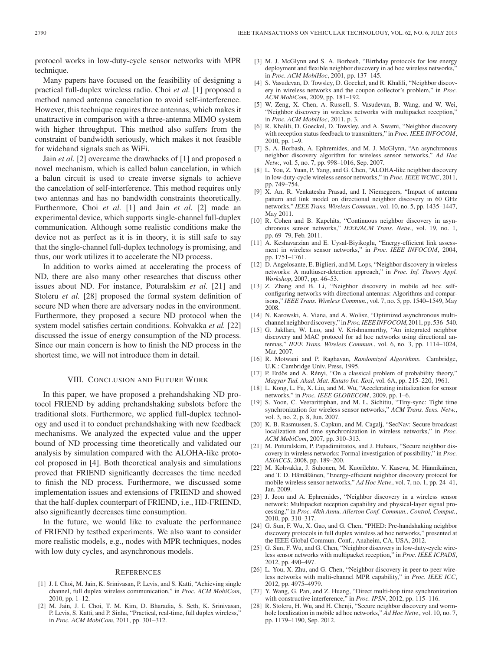protocol works in low-duty-cycle sensor networks with MPR technique.

Many papers have focused on the feasibility of designing a practical full-duplex wireless radio. Choi *et al.* [1] proposed a method named antenna cancelation to avoid self-interference. However, this technique requires three antennas, which makes it unattractive in comparison with a three-antenna MIMO system with higher throughput. This method also suffers from the constraint of bandwidth seriously, which makes it not feasible for wideband signals such as WiFi.

Jain *et al.* [2] overcame the drawbacks of [1] and proposed a novel mechanism, which is called balun cancelation, in which a balun circuit is used to create inverse signals to achieve the cancelation of self-interference. This method requires only two antennas and has no bandwidth constraints theoretically. Furthermore, Choi *et al.* [1] and Jain *et al.* [2] made an experimental device, which supports single-channel full-duplex communication. Although some realistic conditions make the device not as perfect as it is in theory, it is still safe to say that the single-channel full-duplex technology is promising, and thus, our work utilizes it to accelerate the ND process.

In addition to works aimed at accelerating the process of ND, there are also many other researches that discuss other issues about ND. For instance, Poturalskim *et al.* [21] and Stoleru *et al.* [28] proposed the formal system definition of secure ND when there are adversary nodes in the environment. Furthermore, they proposed a secure ND protocol when the system model satisfies certain conditions. Kohvakka *et al.* [22] discussed the issue of energy consumption of the ND process. Since our main concern is how to finish the ND process in the shortest time, we will not introduce them in detail.

## VIII. CONCLUSION AND FUTURE WORK

In this paper, we have proposed a prehandshaking ND protocol FRIEND by adding prehandshaking subslots before the traditional slots. Furthermore, we applied full-duplex technology and used it to conduct prehandshaking with new feedback mechanisms. We analyzed the expected value and the upper bound of ND processing time theoretically and validated our analysis by simulation compared with the ALOHA-like protocol proposed in [4]. Both theoretical analysis and simulations proved that FRIEND significantly decreases the time needed to finish the ND process. Furthermore, we discussed some implementation issues and extensions of FRIEND and showed that the half-duplex counterpart of FRIEND, i.e., HD-FRIEND, also significantly decreases time consumption.

In the future, we would like to evaluate the performance of FRIEND by testbed experiments. We also want to consider more realistic models, e.g., nodes with MPR techniques, nodes with low duty cycles, and asynchronous models.

#### **REFERENCES**

- [1] J. I. Choi, M. Jain, K. Srinivasan, P. Levis, and S. Katti, "Achieving single channel, full duplex wireless communication," in *Proc. ACM MobiCom*, 2010, pp. 1–12.
- [2] M. Jain, J. I. Choi, T. M. Kim, D. Bharadia, S. Seth, K. Srinivasan, P. Levis, S. Katti, and P. Sinha, "Practical, real-time, full duplex wireless," in *Proc. ACM MobiCom*, 2011, pp. 301–312.
- [3] M. J. McGlynn and S. A. Borbash, "Birthday protocols for low energy deployment and flexible neighbor discovery in ad hoc wireless networks, in *Proc. ACM MobiHoc*, 2001, pp. 137–145.
- [4] S. Vasudevan, D. Towsley, D. Goeckel, and R. Khalili, "Neighbor discovery in wireless networks and the coupon collector's problem," in *Proc. ACM MobiCom*, 2009, pp. 181–192.
- [5] W. Zeng, X. Chen, A. Russell, S. Vasudevan, B. Wang, and W. Wei, "Neighbor discovery in wireless networks with multipacket reception," in *Proc. ACM MobiHoc*, 2011, p. 3.
- [6] R. Khalili, D. Goeckel, D. Towsley, and A. Swami, "Neighbor discovery with reception status feedback to transmitters," in *Proc. IEEE INFOCOM*, 2010, pp. 1–9.
- [7] S. A. Borbash, A. Ephremides, and M. J. McGlynn, "An asynchronous neighbor discovery algorithm for wireless sensor networks," *Ad Hoc Netw.*, vol. 5, no. 7, pp. 998–1016, Sep. 2007.
- [8] L. You, Z. Yuan, P. Yang, and G. Chen, "ALOHA-like neighbor discovery in low-duty-cycle wireless sensor networks," in *Proc. IEEE WCNC*, 2011, pp. 749–754.
- [9] X. An, R. Venkatesha Prasad, and I. Niemegeers, "Impact of antenna pattern and link model on directional neighbor discovery in 60 GHz networks," *IEEE Trans. Wireless Commun.*, vol. 10, no. 5, pp. 1435–1447, May 2011.
- [10] R. Cohen and B. Kapchits, "Continuous neighbor discovery in asynchronous sensor networks," *IEEE/ACM Trans. Netw.*, vol. 19, no. 1, pp. 69–79, Feb. 2011.
- [11] A. Keshavarzian and E. Uysal-Biyikoglu, "Energy-efficient link assessment in wireless sensor networks," in *Proc. IEEE INFOCOM*, 2004, pp. 1751–1761.
- [12] D. Angelosante, E. Biglieri, and M. Lops, "Neighbor discovery in wireless networks: A multiuser-detection approach," in *Proc. Inf. Theory Appl. Workshop*, 2007, pp. 46–53.
- [13] Z. Zhang and B. Li, "Neighbor discovery in mobile ad hoc selfconfiguring networks with directional antennas: Algorithms and comparisons," *IEEE Trans. Wireless Commun.*, vol. 7, no. 5, pp. 1540–1549, May 2008.
- [14] N. Karowski, A. Viana, and A. Wolisz, "Optimized asynchronous multichannel neighbor discovery," in*Proc. IEEE INFOCOM*, 2011, pp. 536–540.
- [15] G. Jakllari, W. Luo, and V. Krishnamurthy, "An integrated neighbor discovery and MAC protocol for ad hoc networks using directional antennas," *IEEE Trans. Wireless Commun.*, vol. 6, no. 3, pp. 1114–1024, Mar. 2007.
- [16] R. Motwani and P. Raghavan, *Randomized Algorithms*. Cambridge, U.K.: Cambridge Univ. Press, 1995.
- [17] P. Erdös and A. Rényi, "On a classical problem of probability theory," *Magyar Tud. Akad. Mat. Kutato Int. Kozl*, vol. 6A, pp. 215–220, 1961.
- [18] L. Kong, L. Fu, X. Liu, and M. Wu, "Accelerating initialization for sensor networks," in *Proc. IEEE GLOBECOM*, 2009, pp. 1–6.
- [19] S. Yoon, C. Veerarittiphan, and M. L. Sichitiu, "Tiny-sync: Tight time synchronization for wireless sensor networks," *ACM Trans. Sens. Netw.*, vol. 3, no. 2, p. 8, Jun. 2007.
- [20] K. B. Rasmussen, S. Capkun, and M. Cagalj, "SecNav: Secure broadcast localization and time synchronization in wireless networks," in *Proc. ACM MobiCom*, 2007, pp. 310–313.
- [21] M. Poturalskim, P. Papadimitratos, and J. Hubaux, "Secure neighbor discovery in wireless networks: Formal investigation of possibility," in *Proc. ASIACCS*, 2008, pp. 189–200.
- [22] M. Kohvakka, J. Suhonen, M. Kuorilehto, V. Kaseva, M. Hännikäinen, and T. D. Hämäläinen, "Energy-efficient neighbor discovery protocol for mobile wireless sensor networks," *Ad Hoc Netw.*, vol. 7, no. 1, pp. 24–41, Jan. 2009.
- [23] J. Jeon and A. Ephremides, "Neighbor discovery in a wireless sensor network: Multipacket reception capability and physical-layer signal processing," in *Proc. 48th Annu. Allerton Conf. Commun., Control, Comput.*, 2010, pp. 310–317.
- [24] G. Sun, F. Wu, X. Gao, and G. Chen, "PHED: Pre-handshaking neighbor discovery protocols in full duplex wireless ad hoc networks," presented at the IEEE Global Commun. Conf., Anaheim, CA, USA, 2012.
- [25] G. Sun, F. Wu, and G. Chen, "Neighbor discovery in low-duty-cycle wireless sensor networks with multipacket reception," in *Proc. IEEE ICPADS*, 2012, pp. 490–497.
- [26] L. You, X. Zhu, and G. Chen, "Neighbor discovery in peer-to-peer wireless networks with multi-channel MPR capability," in *Proc. IEEE ICC*, 2012, pp. 4975–4979.
- [27] Y. Wang, G. Pan, and Z. Huang, "Direct multi-hop time synchronization with constructive interference," in *Proc. IPSN*, 2012, pp. 115–116.
- [28] R. Stoleru, H. Wu, and H. Chenji, "Secure neighbor discovery and wormhole localization in mobile ad hoc networks," *Ad Hoc Netw.*, vol. 10, no. 7, pp. 1179–1190, Sep. 2012.